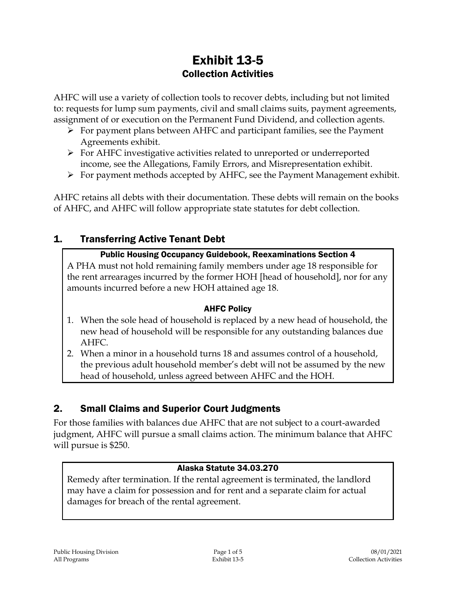# Exhibit 13-5 Collection Activities

AHFC will use a variety of collection tools to recover debts, including but not limited to: requests for lump sum payments, civil and small claims suits, payment agreements, assignment of or execution on the Permanent Fund Dividend, and collection agents.

- $\triangleright$  For payment plans between AHFC and participant families, see the Payment Agreements exhibit.
- For AHFC investigative activities related to unreported or underreported income, see the Allegations, Family Errors, and Misrepresentation exhibit.
- $\triangleright$  For payment methods accepted by AHFC, see the Payment Management exhibit.

AHFC retains all debts with their documentation. These debts will remain on the books of AHFC, and AHFC will follow appropriate state statutes for debt collection.

## 1. Transferring Active Tenant Debt

#### Public Housing Occupancy Guidebook, Reexaminations Section 4

A PHA must not hold remaining family members under age 18 responsible for the rent arrearages incurred by the former HOH [head of household], nor for any amounts incurred before a new HOH attained age 18.

#### AHFC Policy

- 1. When the sole head of household is replaced by a new head of household, the new head of household will be responsible for any outstanding balances due AHFC.
- 2. When a minor in a household turns 18 and assumes control of a household, the previous adult household member's debt will not be assumed by the new head of household, unless agreed between AHFC and the HOH.

## 2. Small Claims and Superior Court Judgments

For those families with balances due AHFC that are not subject to a court-awarded judgment, AHFC will pursue a small claims action. The minimum balance that AHFC will pursue is \$250.

## Alaska Statute 34.03.270

Remedy after termination. If the rental agreement is terminated, the landlord may have a claim for possession and for rent and a separate claim for actual damages for breach of the rental agreement.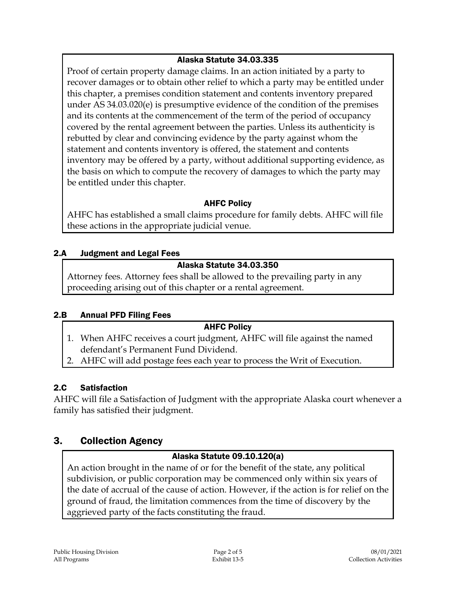#### Alaska Statute 34.03.335

Proof of certain property damage claims. In an action initiated by a party to recover damages or to obtain other relief to which a party may be entitled under this chapter, a premises condition statement and contents inventory prepared under AS 34.03.020(e) is presumptive evidence of the condition of the premises and its contents at the commencement of the term of the period of occupancy covered by the rental agreement between the parties. Unless its authenticity is rebutted by clear and convincing evidence by the party against whom the statement and contents inventory is offered, the statement and contents inventory may be offered by a party, without additional supporting evidence, as the basis on which to compute the recovery of damages to which the party may be entitled under this chapter.

#### AHFC Policy

AHFC has established a small claims procedure for family debts. AHFC will file these actions in the appropriate judicial venue.

#### 2.A Judgment and Legal Fees

#### Alaska Statute 34.03.350

Attorney fees. Attorney fees shall be allowed to the prevailing party in any proceeding arising out of this chapter or a rental agreement.

## 2.B Annual PFD Filing Fees

#### AHFC Policy

- 1. When AHFC receives a court judgment, AHFC will file against the named defendant's Permanent Fund Dividend.
- 2. AHFC will add postage fees each year to process the Writ of Execution.

## 2.C Satisfaction

AHFC will file a Satisfaction of Judgment with the appropriate Alaska court whenever a family has satisfied their judgment.

## 3. Collection Agency

## Alaska Statute 09.10.120(a)

An action brought in the name of or for the benefit of the state, any political subdivision, or public corporation may be commenced only within six years of the date of accrual of the cause of action. However, if the action is for relief on the ground of fraud, the limitation commences from the time of discovery by the aggrieved party of the facts constituting the fraud.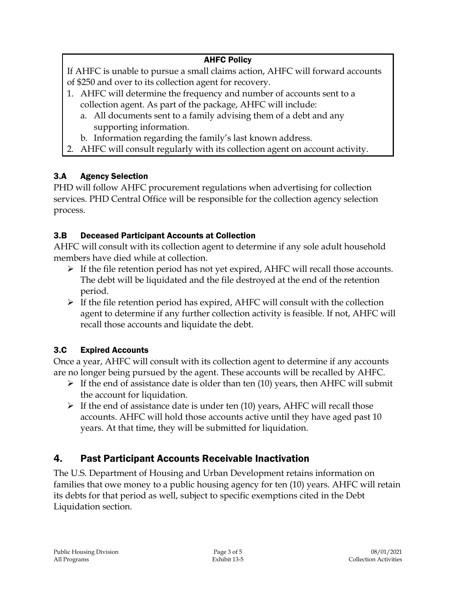## AHFC Policy

If AHFC is unable to pursue a small claims action, AHFC will forward accounts of \$250 and over to its collection agent for recovery.

- 1. AHFC will determine the frequency and number of accounts sent to a collection agent. As part of the package, AHFC will include:
	- a. All documents sent to a family advising them of a debt and any supporting information.
	- b. Information regarding the family's last known address.
- 2. AHFC will consult regularly with its collection agent on account activity.

## 3.A Agency Selection

PHD will follow AHFC procurement regulations when advertising for collection services. PHD Central Office will be responsible for the collection agency selection process.

## 3.B Deceased Participant Accounts at Collection

AHFC will consult with its collection agent to determine if any sole adult household members have died while at collection.

- $\triangleright$  If the file retention period has not yet expired, AHFC will recall those accounts. The debt will be liquidated and the file destroyed at the end of the retention period.
- $\triangleright$  If the file retention period has expired, AHFC will consult with the collection agent to determine if any further collection activity is feasible. If not, AHFC will recall those accounts and liquidate the debt.

## 3.C Expired Accounts

Once a year, AHFC will consult with its collection agent to determine if any accounts are no longer being pursued by the agent. These accounts will be recalled by AHFC.

- $\triangleright$  If the end of assistance date is older than ten (10) years, then AHFC will submit the account for liquidation.
- $\triangleright$  If the end of assistance date is under ten (10) years, AHFC will recall those accounts. AHFC will hold those accounts active until they have aged past 10 years. At that time, they will be submitted for liquidation.

## 4. Past Participant Accounts Receivable Inactivation

The U.S. Department of Housing and Urban Development retains information on families that owe money to a public housing agency for ten (10) years. AHFC will retain its debts for that period as well, subject to specific exemptions cited in the Debt Liquidation section.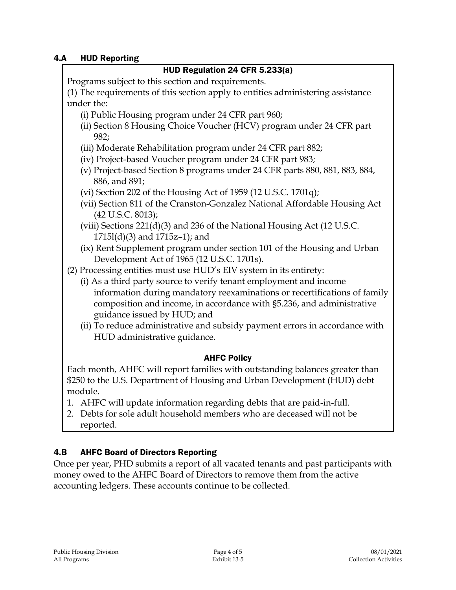#### 4.A HUD Reporting

| HUD Regulation 24 CFR 5.233(a)                                                                                                                                                    |
|-----------------------------------------------------------------------------------------------------------------------------------------------------------------------------------|
| Programs subject to this section and requirements.                                                                                                                                |
| (1) The requirements of this section apply to entities administering assistance                                                                                                   |
| under the:                                                                                                                                                                        |
| (i) Public Housing program under 24 CFR part 960;                                                                                                                                 |
| (ii) Section 8 Housing Choice Voucher (HCV) program under 24 CFR part<br>982;                                                                                                     |
| (iii) Moderate Rehabilitation program under 24 CFR part 882;                                                                                                                      |
| (iv) Project-based Voucher program under 24 CFR part 983;                                                                                                                         |
| (v) Project-based Section 8 programs under 24 CFR parts 880, 881, 883, 884,<br>886, and 891;                                                                                      |
| (vi) Section 202 of the Housing Act of 1959 (12 U.S.C. 1701q);                                                                                                                    |
| (vii) Section 811 of the Cranston-Gonzalez National Affordable Housing Act<br>(42 U.S.C. 8013);                                                                                   |
| (viii) Sections 221(d)(3) and 236 of the National Housing Act (12 U.S.C.<br>$1715l(d)(3)$ and $1715z-1$ ); and                                                                    |
| (ix) Rent Supplement program under section 101 of the Housing and Urban<br>Development Act of 1965 (12 U.S.C. 1701s).                                                             |
| (2) Processing entities must use HUD's EIV system in its entirety:                                                                                                                |
| (i) As a third party source to verify tenant employment and income                                                                                                                |
| information during mandatory reexaminations or recertifications of family<br>composition and income, in accordance with §5.236, and administrative<br>guidance issued by HUD; and |
| (ii) To reduce administrative and subsidy payment errors in accordance with                                                                                                       |
| HUD administrative guidance.                                                                                                                                                      |
| <b>AHFC Policy</b>                                                                                                                                                                |
| Each month, AHFC will report families with outstanding balances greater than                                                                                                      |
| \$250 to the U.S. Department of Housing and Urban Development (HUD) debt                                                                                                          |

- module. 1. AHFC will update information regarding debts that are paid-in-full.
- 2. Debts for sole adult household members who are deceased will not be reported.

## 4.B AHFC Board of Directors Reporting

Once per year, PHD submits a report of all vacated tenants and past participants with money owed to the AHFC Board of Directors to remove them from the active accounting ledgers. These accounts continue to be collected.